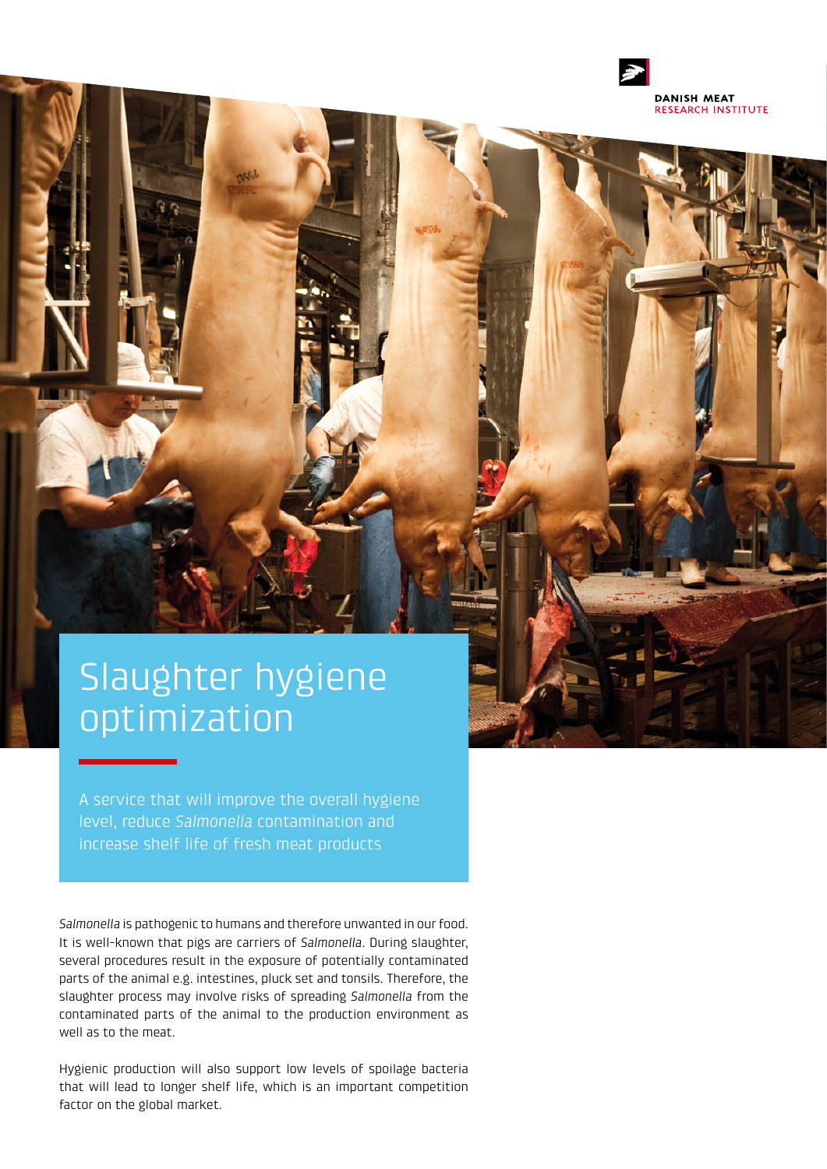

# Slaughter hygiene optimization

A service that will improve the overall hygiene level, reduce *Salmonella* contamination and increase shelf life of fresh meat products

*Salmonella* is pathogenic to humans and therefore unwanted in our food. It is well-known that pigs are carriers of *Salmonella*. During slaughter, several procedures result in the exposure of potentially contaminated parts of the animal e.g. intestines, pluck set and tonsils. Therefore, the slaughter process may involve risks of spreading *Salmonella* from the contaminated parts of the animal to the production environment as well as to the meat.

Hygienic production will also support low levels of spoilage bacteria that will lead to longer shelf life, which is an important competition factor on the global market.